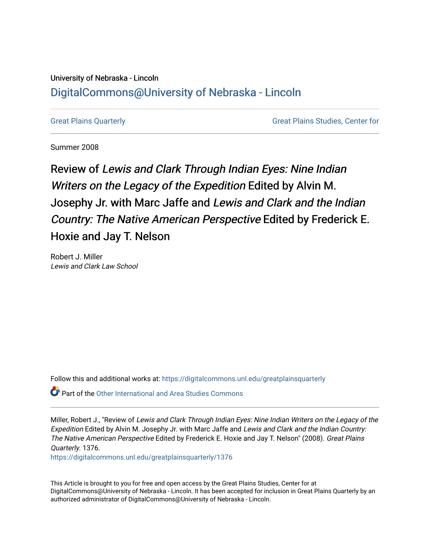## University of Nebraska - Lincoln [DigitalCommons@University of Nebraska - Lincoln](https://digitalcommons.unl.edu/)

[Great Plains Quarterly](https://digitalcommons.unl.edu/greatplainsquarterly) [Great Plains Studies, Center for](https://digitalcommons.unl.edu/greatplainsstudies) 

Summer 2008

Review of Lewis and Clark Through Indian Eyes: Nine Indian Writers on the Legacy of the Expedition Edited by Alvin M. Josephy Jr. with Marc Jaffe and Lewis and Clark and the Indian Country: The Native American Perspective Edited by Frederick E. Hoxie and Jay T. Nelson

Robert J. Miller Lewis and Clark Law School

Follow this and additional works at: [https://digitalcommons.unl.edu/greatplainsquarterly](https://digitalcommons.unl.edu/greatplainsquarterly?utm_source=digitalcommons.unl.edu%2Fgreatplainsquarterly%2F1376&utm_medium=PDF&utm_campaign=PDFCoverPages)

**C** Part of the [Other International and Area Studies Commons](http://network.bepress.com/hgg/discipline/365?utm_source=digitalcommons.unl.edu%2Fgreatplainsquarterly%2F1376&utm_medium=PDF&utm_campaign=PDFCoverPages)

Miller, Robert J., "Review of Lewis and Clark Through Indian Eyes: Nine Indian Writers on the Legacy of the Expedition Edited by Alvin M. Josephy Jr. with Marc Jaffe and Lewis and Clark and the Indian Country: The Native American Perspective Edited by Frederick E. Hoxie and Jay T. Nelson" (2008). Great Plains Quarterly. 1376.

[https://digitalcommons.unl.edu/greatplainsquarterly/1376](https://digitalcommons.unl.edu/greatplainsquarterly/1376?utm_source=digitalcommons.unl.edu%2Fgreatplainsquarterly%2F1376&utm_medium=PDF&utm_campaign=PDFCoverPages)

This Article is brought to you for free and open access by the Great Plains Studies, Center for at DigitalCommons@University of Nebraska - Lincoln. It has been accepted for inclusion in Great Plains Quarterly by an authorized administrator of DigitalCommons@University of Nebraska - Lincoln.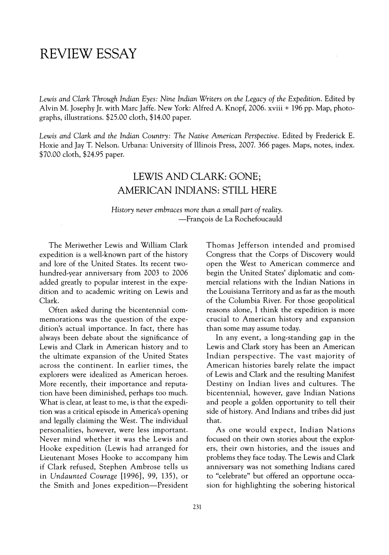## **REVIEW** ESSAY

Lewis *and Clark Through Indian Eyes:* Nine *Indian Writers* on *the Legacy of the Expedition.* Edited by Alvin M. Josephy Jr. with Marc Jaffe. New York: Alfred A. Knopf, 2006. xviii + 196 pp. Map, photographs, illustrations. \$25.00 cloth, \$14.00 paper.

Lewis and Clark and the Indian Country: The Native American Perspective. Edited by Frederick E. Hoxie and Jay T. Nelson. Urbana: University of Illinois Press, 2007. 366 pages. Maps, notes, index. \$70.00 cloth, \$24.95 paper.

## LEWIS AND CLARK: GONE; AMERICAN INDIANS: STILL HERE

*History never embraces more than a small part of reality.*  -François de La Rochefoucauld

The Meriwether Lewis and William Clark expedition is a well-known part of the history and lore of the United States. Its recent twohundred-year anniversary from 2003 to 2006 added greatly to popular interest in the expedition and to academic writing on Lewis and Clark.

Often asked during the bicentennial commemorations was the question of the expedition's actual importance. In fact, there has always been debate about the significance of Lewis and Clark in American history and to the ultimate expansion of the United States across the continent. In earlier times, the explorers were idealized as American heroes. More recently, their importance and reputation have been diminished, perhaps too much. What is clear, at least to me, is that the expedition was a critical episode in America's opening and legally claiming the West. The individual personalities, however, were less important. Never mind whether it was the Lewis and Hooke expedition (Lewis had arranged for Lieutenant Moses Hooke to accompany him if Clark refused, Stephen Ambrose tells us in *Undaunted Courage* [1996], 99, 135), or the Smith and Jones expedition-President Thomas Jefferson intended and promised Congress that the Corps of Discovery would open the West to American commerce and begin the United States' diplomatic and commercial relations with the Indian Nations in the Louisiana Territory and as far as the mouth of the Columbia River. For those geopolitical reasons alone, I think the expedition is more crucial to American history and expansion than some may assume today.

In any event, a long-standing gap in the Lewis and Clark story has been an American Indian perspective. The vast majority of American histories barely relate the impact of Lewis and Clark and the resulting Manifest Destiny on Indian lives and cultures. The bicentennial, however, gave Indian Nations and people a golden opportunity to tell their side of history. And Indians and tribes did just that.

As one would expect, Indian Nations focused on their own stories about the explorers, their own histories, and the issues and problems they face today. The Lewis and Clark anniversary was not something Indians cared to "celebrate" but offered an opportune occasion for highlighting the sobering historical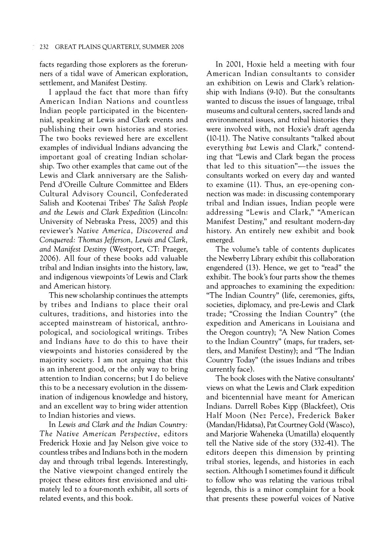facts regarding those explorers as the forerunners of a tidal wave of American exploration, settlement, and Manifest Destiny.

I applaud the fact that more than fifty American Indian Nations and countless Indian people participated in the bicentennial, speaking at Lewis and Clark events and publishing their own histories and stories. The two books reviewed here are excellent examples of individual Indians advancing the important goal of creating Indian scholarship. Two other examples that came out of the Lewis and Clark anniversary are the Salish-Pend d'Oreille Culture Committee and Elders Cultural Advisory Council, Confederated Salish and Kootenai Tribes' *The Salish People and the Lewis and Clark Expedition* (Lincoln: University of Nebraska Press, 2005) and this reviewer's *Native America, Discovered and Conquered: Thomas Jefferson, Lewis and Clark, and Manifest Destiny* (Westport, CT: Praeger, 2006). All four of these books add valuable tribal and Indian insights into the history, law, and indigenous viewpoints 'of Lewis and Clark and American history.

This new scholarship continues the attempts by tribes and Indians to place their oral cultures, traditions, and histories into the accepted mainstream of historical, anthropological, and sociological writings. Tribes and Indians *have* to do this to have their viewpoints and histories considered by the majority society. I am not arguing that this is an inherent good, or the only way to bring attention to Indian concerns; but I do believe this to be a necessary evolution in the dissemination of indigenous knowledge and history, and an excellent way to bring wider attention to Indian histories and views.

In *Lewis and Clark and the Indian Country: The Native American Perspective,* editors Frederick Hoxie and Jay Nelson give voice to countless tribes and Indians both in the modern day and through tribal legends. Interestingly, the Native viewpoint changed entirely the project these editors first envisioned and ultimately led to a four-month exhibit, all sorts of related events, and this book.

In 2001, Hoxie held a meeting with four American Indian consultants to consider an exhibition on Lewis and Clark's relationship with Indians (9-10). But the consultants wanted to discuss the issues of language, tribal museums and cultural centers, sacred lands and environmental issues, and tribal histories they were involved with, not Hoxie's draft agenda (10-11). The Native consultants "talked about everything *but* Lewis and Clark," contending that "Lewis and Clark began the process that led to this situation"-the issues the consultants worked on every day and wanted to examine (11). Thus, an eye-opening connection was made: in discussing contemporary tribal and Indian issues, Indian people were addressing "Lewis and Clark," "American Manifest Destiny," and resultant modern-day history. An entirely new exhibit and book emerged.

The volume's table of contents duplicates the Newberry Library exhibit this collaboration engendered (13). Hence, we get to "read" the exhibit. The book's four parts show the themes and approaches to examining the expedition: "The Indian Country" (life, ceremonies, gifts, societies, diplomacy, and pre-Lewis and Clark trade; "Crossing the Indian Country" (the expedition and Americans in Louisiana and the Oregon country); "A New Nation Comes to the Indian Country" (maps, fur traders, settlers, and Manifest Destiny); and "The Indian Country Today" (the issues Indians and tribes currently face).

The book closes with the Native consultants' views on what the Lewis and Clark expedition and bicentennial have meant for American Indians. Darrell Robes Kipp (Blackfeet), Otis Half Moon (Nez Perce), Frederick Baker (Mandan/Hidatsa), Pat Courtney Gold (Wasco), and Marjorie Waheneka (Umatilla) eloquently tell the Native side of the story (332-41). The editors deepen this dimension by printing tribal stories, legends, and histories in each section. Although I sometimes found it difficult to follow who was relating the various tribal legends, this is a minor complaint for a book that presents these powerful voices of Native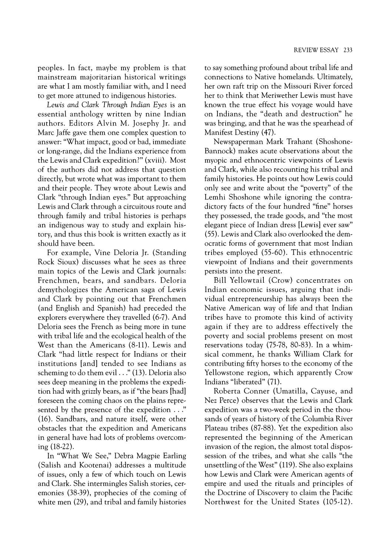peoples. In fact, maybe my problem is that mainstream majoritarian historical writings are what I am mostly familiar with, and I need to get more attuned to indigenous histories.

*Lewis and Clark Through Indian Eyes* is an essential anthology written by nine Indian authors. Editors Alvin M. Josephy Jr. and Marc Jaffe gave them one complex question to answer: "What impact, good or bad, immediate or long-range, did the Indians experience from the Lewis and Clark expedition?" (xviii). Most of the authors did not address that question directly, but wrote what was important to them and their people. They wrote about Lewis and Clark "through Indian eyes." But approaching Lewis and Clark through a circuitous route and through family and tribal histories is perhaps an indigenous way to study and explain history, and thus this book is written exactly as it should have been.

For example, Vine Deloria Jr. (Standing Rock Sioux) discusses what he sees as three main topics of the Lewis and Clark journals: Frenchmen, bears, and sandbars. Deloria demythologizes the American saga of Lewis and Clark by pointing out that Frenchmen (and English and Spanish) had preceded the explorers everywhere they travelled (6-7). And Deloria sees the French as being more in tune with tribal life and the ecological health of the West than the Americans (8-11). Lewis and Clark "had little respect for Indians or their institutions [and] tended to see Indians as scheming to do them evil ... " (13). Deloria also sees deep meaning in the problems the expedition had with grizzly bears, as if "the bears [had] foreseen the coming chaos on the plains represented by the presence of the expedition ... " (16). Sandbars, and nature itself, were other obstacles that the expedition and Americans in general have had lots of problems overcoming (18-22).

In "What We See," Debra Magpie Earling (Salish and Kootenai) addresses a multitude of issues, only a few of which touch on Lewis and Clark. She intermingles Salish stories, ceremonies (38-39), prophecies of the coming of white men (29), and tribal and family histories to say something profound about tribal life and connections to Native homelands. Ultimately, her own raft trip on the Missouri River forced her to think that Meriwether Lewis must have known the true effect his voyage would have on Indians, the "death and destruction" he was bringing, and that he was the spearhead of Manifest Destiny (47).

Newspaperman Mark Trahant (Shoshone-Bannock) makes acute observations about the myopic and ethnocentric viewpoints of Lewis and Clark, while also recounting his tribal and family histories. He points out how Lewis could only see and write about the "poverty" of the Lemhi Shoshone while ignoring the contradictory facts of the four hundred "fine" horses they possessed, the trade goods, and "the most elegant piece of Indian dress [Lewis] ever saw" (55). Lewis and Clark also overlooked the democratic forms of government that most Indian tribes employed (55-60). This ethnocentric viewpoint of Indians and their governments persists into the present.

Bill Yellowtail (Crow) concentrates on Indian economic issues, arguing that individual entrepreneurship has always been the Native American way of life and that Indian tribes have to promote this kind of activity again if they are to address effectively the poverty and social problems present on most reservations today (75-78, 80-83). In a whimsical comment, he thanks William Clark for contributing fifty horses to the economy of the Yellowstone region, which apparently Crow Indians "liberated" (71).

Roberta Conner (Umatilla, Cayuse, and Nez Perce) observes that the Lewis and Clark expedition was a two-week period in the thousands of years of history of the Columbia River Plateau tribes (87-88). Yet the expedition also represented the beginning of the American invasion of the region, the almost total dispossession of the tribes, and what she calls "the unsettling of the West" (119). She also explains how Lewis and Clark were American agents of empire and used the rituals and principles of the Doctrine of Discovery to claim the Pacific Northwest for the United States (105-12).